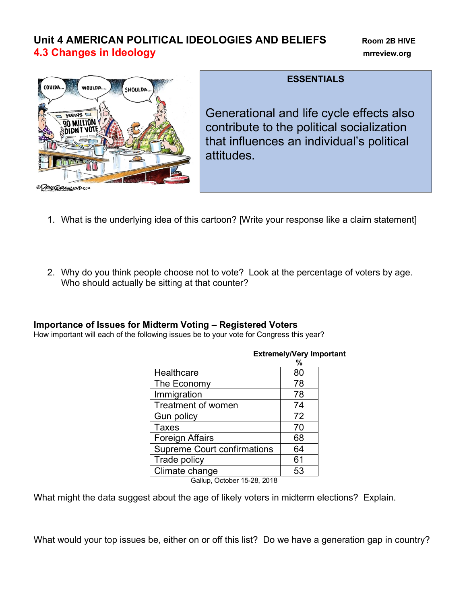# **Unit 4 AMERICAN POLITICAL IDEOLOGIES AND BELIEFS Room 2B HIVE 4.3 Changes in Ideology mrreview.org**



**ESSENTIALS**

Generational and life cycle effects also contribute to the political socialization that influences an individual's political attitudes.

- 1. What is the underlying idea of this cartoon? [Write your response like a claim statement]
- 2. Why do you think people choose not to vote? Look at the percentage of voters by age. Who should actually be sitting at that counter?

## **Importance of Issues for Midterm Voting – Registered Voters**

How important will each of the following issues be to your vote for Congress this year?

|                                                                | %  |  |  |  |
|----------------------------------------------------------------|----|--|--|--|
| Healthcare                                                     | 80 |  |  |  |
| The Economy                                                    | 78 |  |  |  |
| Immigration                                                    | 78 |  |  |  |
| <b>Treatment of women</b>                                      | 74 |  |  |  |
| Gun policy                                                     | 72 |  |  |  |
| <b>Taxes</b>                                                   | 70 |  |  |  |
| <b>Foreign Affairs</b>                                         | 68 |  |  |  |
| <b>Supreme Court confirmations</b>                             | 64 |  |  |  |
| Trade policy                                                   | 61 |  |  |  |
| Climate change                                                 | 53 |  |  |  |
| $\sim$ $\sim$ $\sim$ $\sim$ $\sim$ $\sim$ $\sim$<br><u>___</u> |    |  |  |  |

### **Extremely/Very Important**

Gallup, October 15-28, 2018

What might the data suggest about the age of likely voters in midterm elections? Explain.

What would your top issues be, either on or off this list? Do we have a generation gap in country?